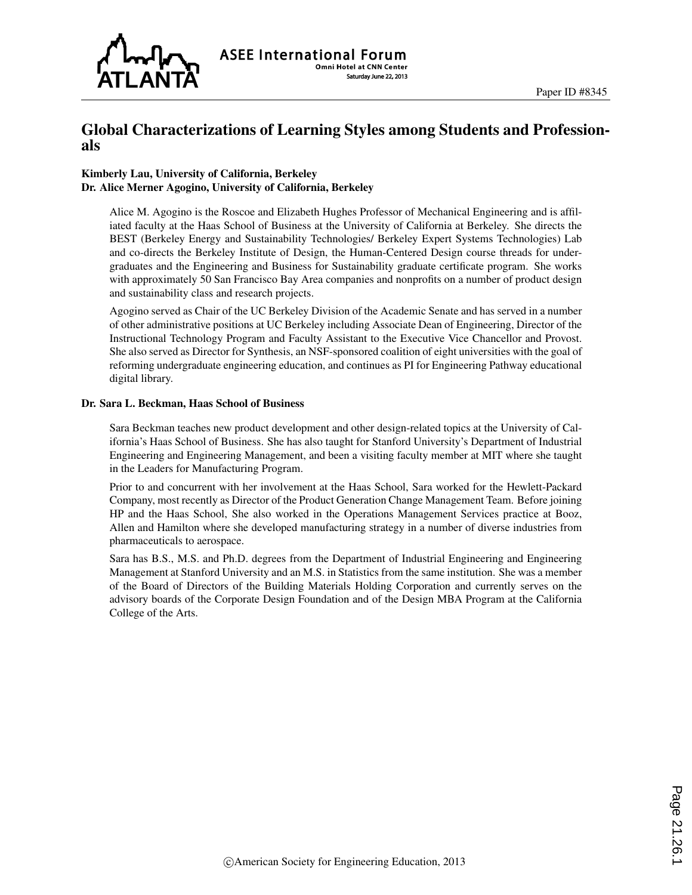

## Global Characterizations of Learning Styles among Students and Professionals

#### Kimberly Lau, University of California, Berkeley Dr. Alice Merner Agogino, University of California, Berkeley

Alice M. Agogino is the Roscoe and Elizabeth Hughes Professor of Mechanical Engineering and is affiliated faculty at the Haas School of Business at the University of California at Berkeley. She directs the BEST (Berkeley Energy and Sustainability Technologies/ Berkeley Expert Systems Technologies) Lab and co-directs the Berkeley Institute of Design, the Human-Centered Design course threads for undergraduates and the Engineering and Business for Sustainability graduate certificate program. She works with approximately 50 San Francisco Bay Area companies and nonprofits on a number of product design and sustainability class and research projects.

Agogino served as Chair of the UC Berkeley Division of the Academic Senate and has served in a number of other administrative positions at UC Berkeley including Associate Dean of Engineering, Director of the Instructional Technology Program and Faculty Assistant to the Executive Vice Chancellor and Provost. She also served as Director for Synthesis, an NSF-sponsored coalition of eight universities with the goal of reforming undergraduate engineering education, and continues as PI for Engineering Pathway educational digital library.

#### Dr. Sara L. Beckman, Haas School of Business

Sara Beckman teaches new product development and other design-related topics at the University of California's Haas School of Business. She has also taught for Stanford University's Department of Industrial Engineering and Engineering Management, and been a visiting faculty member at MIT where she taught in the Leaders for Manufacturing Program.

Prior to and concurrent with her involvement at the Haas School, Sara worked for the Hewlett-Packard Company, most recently as Director of the Product Generation Change Management Team. Before joining HP and the Haas School, She also worked in the Operations Management Services practice at Booz, Allen and Hamilton where she developed manufacturing strategy in a number of diverse industries from pharmaceuticals to aerospace.

Sara has B.S., M.S. and Ph.D. degrees from the Department of Industrial Engineering and Engineering Management at Stanford University and an M.S. in Statistics from the same institution. She was a member of the Board of Directors of the Building Materials Holding Corporation and currently serves on the advisory boards of the Corporate Design Foundation and of the Design MBA Program at the California College of the Arts.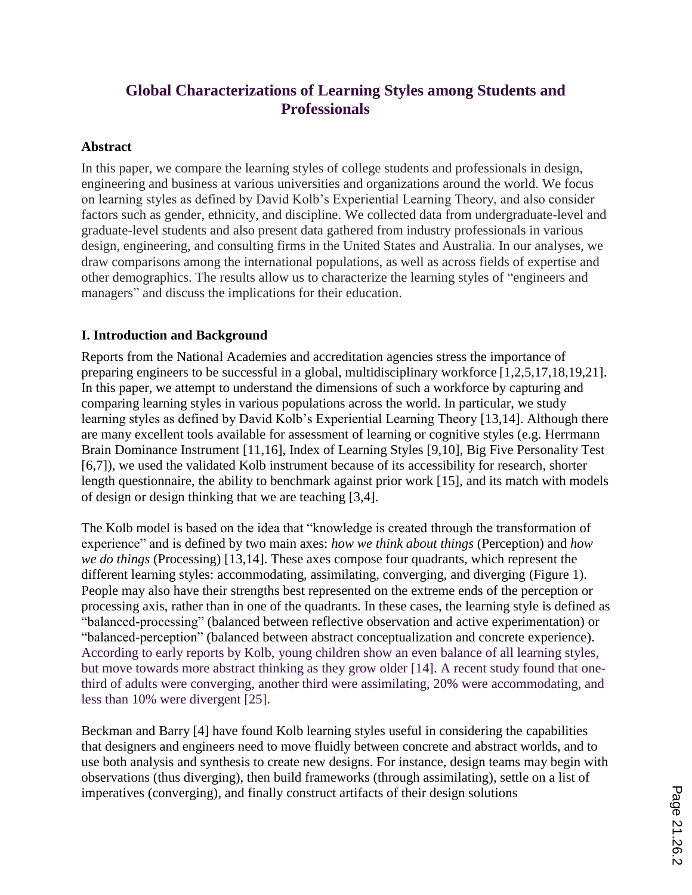# **Global Characterizations of Learning Styles among Students and Professionals**

#### **Abstract**

In this paper, we compare the learning styles of college students and professionals in design, engineering and business at various universities and organizations around the world. We focus on learning styles as defined by David Kolb's Experiential Learning Theory, and also consider factors such as gender, ethnicity, and discipline. We collected data from undergraduate-level and graduate-level students and also present data gathered from industry professionals in various design, engineering, and consulting firms in the United States and Australia. In our analyses, we draw comparisons among the international populations, as well as across fields of expertise and other demographics. The results allow us to characterize the learning styles of "engineers and managers" and discuss the implications for their education.

### **I. Introduction and Background**

Reports from the National Academies and accreditation agencies stress the importance of preparing engineers to be successful in a global, multidisciplinary workforce [1,2,5,17,18,19,21]. In this paper, we attempt to understand the dimensions of such a workforce by capturing and comparing learning styles in various populations across the world. In particular, we study learning styles as defined by David Kolb's Experiential Learning Theory [13,14]. Although there are many excellent tools available for assessment of learning or cognitive styles (e.g. Herrmann Brain Dominance Instrument [11,16], Index of Learning Styles [9,10], Big Five Personality Test [6,7]), we used the validated Kolb instrument because of its accessibility for research, shorter length questionnaire, the ability to benchmark against prior work [15], and its match with models of design or design thinking that we are teaching [3,4].

The Kolb model is based on the idea that "knowledge is created through the transformation of experience" and is defined by two main axes: *how we think about things* (Perception) and *how we do things* (Processing) [13,14]. These axes compose four quadrants, which represent the different learning styles: accommodating, assimilating, converging, and diverging (Figure 1). People may also have their strengths best represented on the extreme ends of the perception or processing axis, rather than in one of the quadrants. In these cases, the learning style is defined as "balanced-processing" (balanced between reflective observation and active experimentation) or "balanced-perception" (balanced between abstract conceptualization and concrete experience). According to early reports by Kolb, young children show an even balance of all learning styles, but move towards more abstract thinking as they grow older [14]. A recent study found that onethird of adults were converging, another third were assimilating, 20% were accommodating, and less than 10% were divergent [25].

Beckman and Barry [4] have found Kolb learning styles useful in considering the capabilities that designers and engineers need to move fluidly between concrete and abstract worlds, and to use both analysis and synthesis to create new designs. For instance, design teams may begin with observations (thus diverging), then build frameworks (through assimilating), settle on a list of imperatives (converging), and finally construct artifacts of their design solutions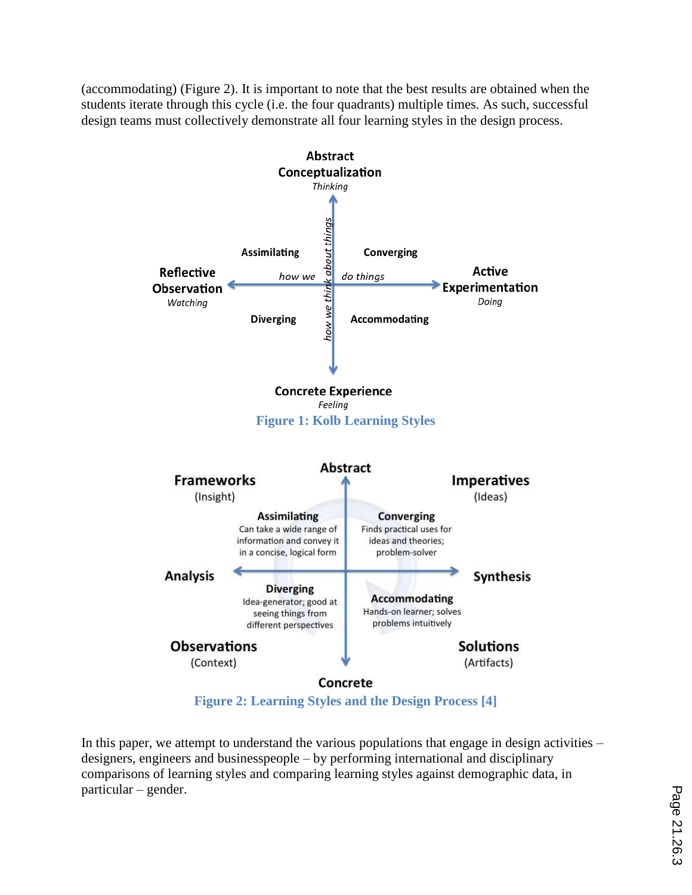(accommodating) (Figure 2). It is important to note that the best results are obtained when the students iterate through this cycle (i.e. the four quadrants) multiple times. As such, successful design teams must collectively demonstrate all four learning styles in the design process.



**Figure 2: Learning Styles and the Design Process [4]**

In this paper, we attempt to understand the various populations that engage in design activities – designers, engineers and businesspeople – by performing international and disciplinary comparisons of learning styles and comparing learning styles against demographic data, in particular – gender.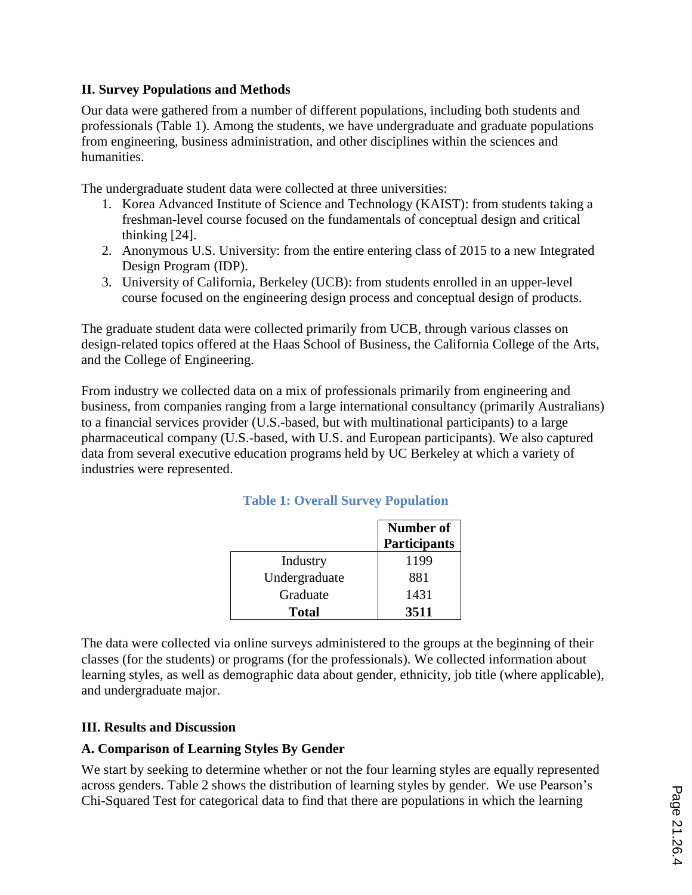### **II. Survey Populations and Methods**

Our data were gathered from a number of different populations, including both students and professionals (Table 1). Among the students, we have undergraduate and graduate populations from engineering, business administration, and other disciplines within the sciences and humanities.

The undergraduate student data were collected at three universities:

- 1. Korea Advanced Institute of Science and Technology (KAIST): from students taking a freshman-level course focused on the fundamentals of conceptual design and critical thinking [24].
- 2. Anonymous U.S. University: from the entire entering class of 2015 to a new Integrated Design Program (IDP).
- 3. University of California, Berkeley (UCB): from students enrolled in an upper-level course focused on the engineering design process and conceptual design of products.

The graduate student data were collected primarily from UCB, through various classes on design-related topics offered at the Haas School of Business, the California College of the Arts, and the College of Engineering.

From industry we collected data on a mix of professionals primarily from engineering and business, from companies ranging from a large international consultancy (primarily Australians) to a financial services provider (U.S.-based, but with multinational participants) to a large pharmaceutical company (U.S.-based, with U.S. and European participants). We also captured data from several executive education programs held by UC Berkeley at which a variety of industries were represented.

|               | Number of<br>Participants |
|---------------|---------------------------|
| Industry      | 1199                      |
| Undergraduate | 881                       |
| Graduate      | 1431                      |
| Total         | 3511                      |

### **Table 1: Overall Survey Population**

The data were collected via online surveys administered to the groups at the beginning of their classes (for the students) or programs (for the professionals). We collected information about learning styles, as well as demographic data about gender, ethnicity, job title (where applicable), and undergraduate major.

### **III. Results and Discussion**

### **A. Comparison of Learning Styles By Gender**

We start by seeking to determine whether or not the four learning styles are equally represented across genders. Table 2 shows the distribution of learning styles by gender. We use Pearson's Chi-Squared Test for categorical data to find that there are populations in which the learning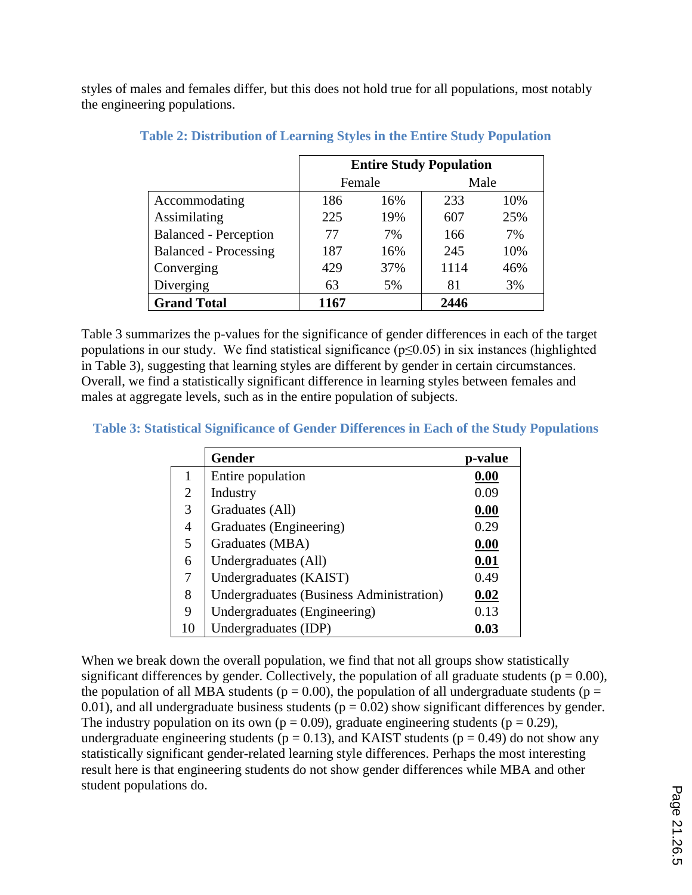styles of males and females differ, but this does not hold true for all populations, most notably the engineering populations.

|                              | <b>Entire Study Population</b> |     |      |     |  |  |
|------------------------------|--------------------------------|-----|------|-----|--|--|
|                              | Female                         |     | Male |     |  |  |
| Accommodating                | 186                            | 16% | 233  | 10% |  |  |
| Assimilating                 | 225                            | 19% | 607  | 25% |  |  |
| <b>Balanced - Perception</b> | 77                             | 7%  | 166  | 7%  |  |  |
| <b>Balanced - Processing</b> | 187                            | 16% | 245  | 10% |  |  |
| Converging                   | 429                            | 37% | 1114 | 46% |  |  |
| Diverging                    | 63                             | 5%  | 81   | 3%  |  |  |
| <b>Grand Total</b>           | 1167                           |     | 2446 |     |  |  |

### **Table 2: Distribution of Learning Styles in the Entire Study Population**

Table 3 summarizes the p-values for the significance of gender differences in each of the target populations in our study. We find statistical significance ( $p \le 0.05$ ) in six instances (highlighted in Table 3), suggesting that learning styles are different by gender in certain circumstances. Overall, we find a statistically significant difference in learning styles between females and males at aggregate levels, such as in the entire population of subjects.

#### **Table 3: Statistical Significance of Gender Differences in Each of the Study Populations**

|    | <b>Gender</b>                                   | p-value |
|----|-------------------------------------------------|---------|
|    | Entire population                               | 0.00    |
| 2  | Industry                                        | 0.09    |
| 3  | Graduates (All)                                 | 0.00    |
| 4  | Graduates (Engineering)                         | 0.29    |
| 5  | Graduates (MBA)                                 | 0.00    |
| 6  | Undergraduates (All)                            | 0.01    |
| 7  | Undergraduates (KAIST)                          | 0.49    |
| 8  | <b>Undergraduates (Business Administration)</b> | 0.02    |
| 9  | Undergraduates (Engineering)                    | 0.13    |
| 10 | Undergraduates (IDP)                            | 0.03    |

When we break down the overall population, we find that not all groups show statistically significant differences by gender. Collectively, the population of all graduate students ( $p = 0.00$ ), the population of all MBA students ( $p = 0.00$ ), the population of all undergraduate students ( $p =$ 0.01), and all undergraduate business students ( $p = 0.02$ ) show significant differences by gender. The industry population on its own ( $p = 0.09$ ), graduate engineering students ( $p = 0.29$ ), undergraduate engineering students ( $p = 0.13$ ), and KAIST students ( $p = 0.49$ ) do not show any statistically significant gender-related learning style differences. Perhaps the most interesting result here is that engineering students do not show gender differences while MBA and other student populations do.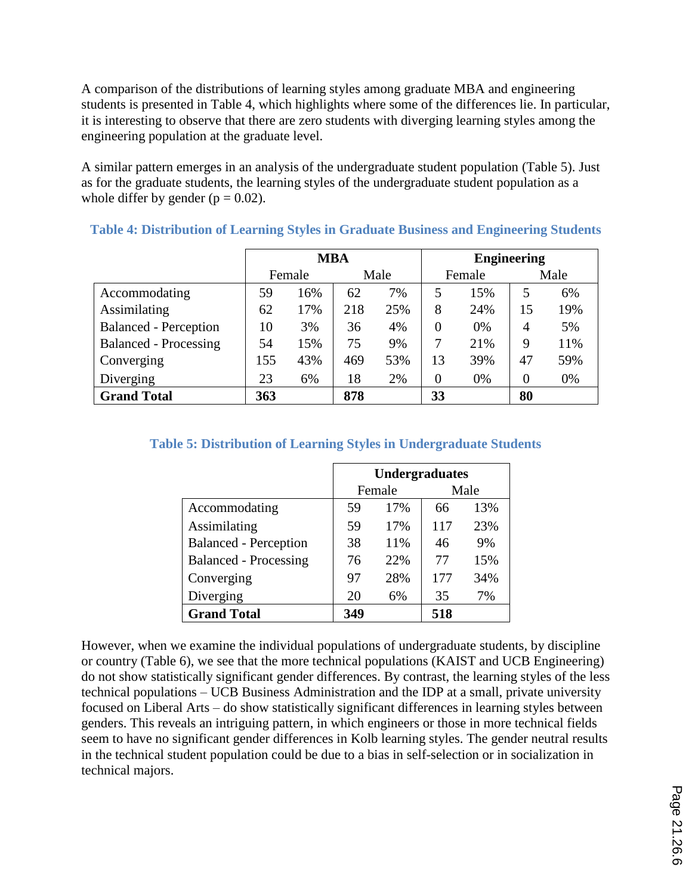A comparison of the distributions of learning styles among graduate MBA and engineering students is presented in Table 4, which highlights where some of the differences lie. In particular, it is interesting to observe that there are zero students with diverging learning styles among the engineering population at the graduate level.

A similar pattern emerges in an analysis of the undergraduate student population (Table 5). Just as for the graduate students, the learning styles of the undergraduate student population as a whole differ by gender ( $p = 0.02$ ).

|                              | <b>MBA</b> |        |     |      |          | <b>Engineering</b> |                |      |  |
|------------------------------|------------|--------|-----|------|----------|--------------------|----------------|------|--|
|                              |            | Female |     | Male |          | Female             |                | Male |  |
| Accommodating                | 59         | 16%    | 62  | 7%   |          | 15%                | 5              | 6%   |  |
| Assimilating                 | 62         | 17%    | 218 | 25%  | 8        | 24%                | 15             | 19%  |  |
| <b>Balanced - Perception</b> | 10         | 3%     | 36  | 4%   | $\theta$ | 0%                 | $\overline{4}$ | 5%   |  |
| <b>Balanced - Processing</b> | 54         | 15%    | 75  | 9%   |          | 21%                | 9              | 11%  |  |
| Converging                   | 155        | 43%    | 469 | 53%  | 13       | 39%                | 47             | 59%  |  |
| Diverging                    | 23         | 6%     | 18  | 2%   | $\theta$ | 0%                 | $\theta$       | 0%   |  |
| <b>Grand Total</b>           | 363        |        | 878 |      | 33       |                    | 80             |      |  |

#### **Table 4: Distribution of Learning Styles in Graduate Business and Engineering Students**

#### **Table 5: Distribution of Learning Styles in Undergraduate Students**

|                              | <b>Undergraduates</b> |        |     |      |  |
|------------------------------|-----------------------|--------|-----|------|--|
|                              |                       | Female |     | Male |  |
| Accommodating                | 59                    | 17%    | 66  | 13%  |  |
| Assimilating                 | 59                    | 17%    | 117 | 23%  |  |
| <b>Balanced</b> - Perception | 38                    | 11%    | 46  | 9%   |  |
| <b>Balanced - Processing</b> | 76                    | 22%    | 77  | 15%  |  |
| Converging                   | 97                    | 28%    | 177 | 34%  |  |
| Diverging                    | 20                    | 6%     | 35  | 7%   |  |
| <b>Grand Total</b>           | 349                   |        | 518 |      |  |

However, when we examine the individual populations of undergraduate students, by discipline or country (Table 6), we see that the more technical populations (KAIST and UCB Engineering) do not show statistically significant gender differences. By contrast, the learning styles of the less technical populations – UCB Business Administration and the IDP at a small, private university focused on Liberal Arts – do show statistically significant differences in learning styles between genders. This reveals an intriguing pattern, in which engineers or those in more technical fields seem to have no significant gender differences in Kolb learning styles. The gender neutral results in the technical student population could be due to a bias in self-selection or in socialization in technical majors.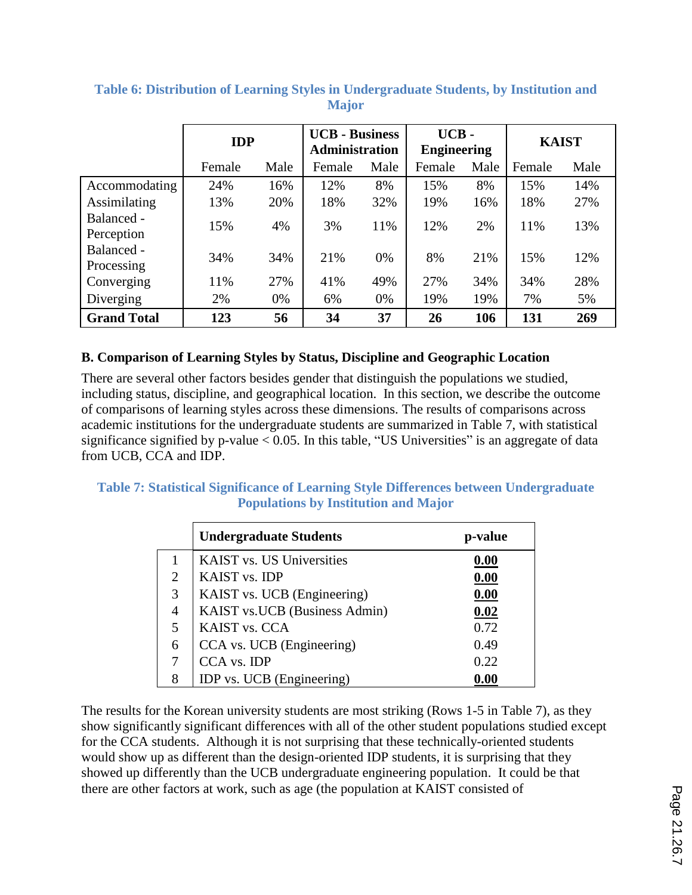|                          | <b>IDP</b> |      | <b>UCB</b> - Business<br><b>Administration</b> |      | UCB-<br><b>Engineering</b> |      | <b>KAIST</b> |      |
|--------------------------|------------|------|------------------------------------------------|------|----------------------------|------|--------------|------|
|                          | Female     | Male | Female                                         | Male | Female                     | Male | Female       | Male |
| Accommodating            | 24%        | 16%  | 12%                                            | 8%   | 15%                        | 8%   | 15%          | 14%  |
| Assimilating             | 13%        | 20%  | 18%                                            | 32%  | 19%                        | 16%  | 18%          | 27%  |
| Balanced -<br>Perception | 15%        | 4%   | 3%                                             | 11%  | 12%                        | 2%   | 11%          | 13%  |
| Balanced -<br>Processing | 34%        | 34%  | 21%                                            | 0%   | 8%                         | 21%  | 15%          | 12%  |
| Converging               | 11%        | 27%  | 41%                                            | 49%  | 27%                        | 34%  | 34%          | 28%  |
| Diverging                | 2%         | 0%   | 6%                                             | 0%   | 19%                        | 19%  | 7%           | 5%   |
| <b>Grand Total</b>       | 123        | 56   | 34                                             | 37   | 26                         | 106  | 131          | 269  |

### **Table 6: Distribution of Learning Styles in Undergraduate Students, by Institution and Major**

### **B. Comparison of Learning Styles by Status, Discipline and Geographic Location**

There are several other factors besides gender that distinguish the populations we studied, including status, discipline, and geographical location. In this section, we describe the outcome of comparisons of learning styles across these dimensions. The results of comparisons across academic institutions for the undergraduate students are summarized in Table 7, with statistical significance signified by p-value  $< 0.05$ . In this table, "US Universities" is an aggregate of data from UCB, CCA and IDP.

### **Table 7: Statistical Significance of Learning Style Differences between Undergraduate Populations by Institution and Major**

|                | <b>Undergraduate Students</b>    | p-value |
|----------------|----------------------------------|---------|
| 1              | <b>KAIST</b> vs. US Universities | 0.00    |
| $\overline{2}$ | KAIST vs. IDP                    | 0.00    |
| 3              | KAIST vs. UCB (Engineering)      | 0.00    |
| $\overline{4}$ | KAIST vs. UCB (Business Admin)   | 0.02    |
| 5              | KAIST vs. CCA                    | 0.72    |
| 6              | CCA vs. UCB (Engineering)        | 0.49    |
| 7              | CCA vs. IDP                      | 0.22    |
| 8              | IDP vs. UCB (Engineering)        | 0.00    |

The results for the Korean university students are most striking (Rows 1-5 in Table 7), as they show significantly significant differences with all of the other student populations studied except for the CCA students. Although it is not surprising that these technically-oriented students would show up as different than the design-oriented IDP students, it is surprising that they showed up differently than the UCB undergraduate engineering population. It could be that there are other factors at work, such as age (the population at KAIST consisted of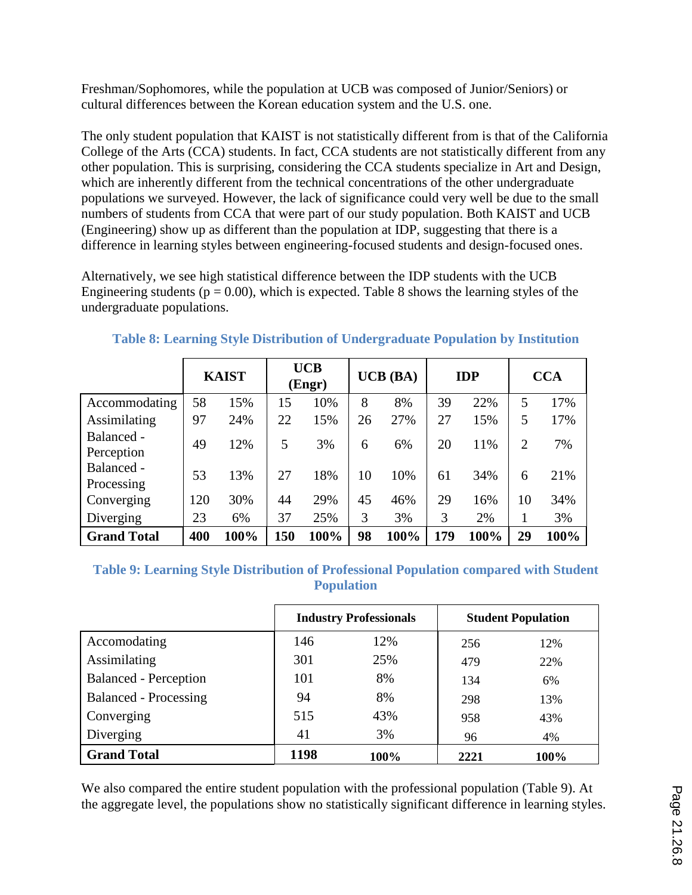Freshman/Sophomores, while the population at UCB was composed of Junior/Seniors) or cultural differences between the Korean education system and the U.S. one.

The only student population that KAIST is not statistically different from is that of the California College of the Arts (CCA) students. In fact, CCA students are not statistically different from any other population. This is surprising, considering the CCA students specialize in Art and Design, which are inherently different from the technical concentrations of the other undergraduate populations we surveyed. However, the lack of significance could very well be due to the small numbers of students from CCA that were part of our study population. Both KAIST and UCB (Engineering) show up as different than the population at IDP, suggesting that there is a difference in learning styles between engineering-focused students and design-focused ones.

Alternatively, we see high statistical difference between the IDP students with the UCB Engineering students ( $p = 0.00$ ), which is expected. Table 8 shows the learning styles of the undergraduate populations.

|                          |     | <b>KAIST</b> |     | <b>UCB</b><br>(Engr) |    | $UCB$ (BA) |     | <b>IDP</b> |                | <b>CCA</b> |
|--------------------------|-----|--------------|-----|----------------------|----|------------|-----|------------|----------------|------------|
| Accommodating            | 58  | 15%          | 15  | 10%                  | 8  | 8%         | 39  | 22%        | 5              | 17%        |
| Assimilating             | 97  | 24%          | 22  | 15%                  | 26 | 27%        | 27  | 15%        | 5              | 17%        |
| Balanced -<br>Perception | 49  | 12%          | 5   | 3%                   | 6  | 6%         | 20  | 11%        | $\overline{2}$ | 7%         |
| Balanced -<br>Processing | 53  | 13%          | 27  | 18%                  | 10 | 10%        | 61  | 34%        | 6              | 21%        |
| Converging               | 120 | 30%          | 44  | 29%                  | 45 | 46%        | 29  | 16%        | 10             | 34%        |
| Diverging                | 23  | 6%           | 37  | 25%                  | 3  | 3%         | 3   | 2%         |                | 3%         |
| <b>Grand Total</b>       | 400 | 100%         | 150 | 100%                 | 98 | 100%       | 179 | 100%       | 29             | 100%       |

# **Table 8: Learning Style Distribution of Undergraduate Population by Institution**

#### **Table 9: Learning Style Distribution of Professional Population compared with Student Population**

|                              |      | <b>Industry Professionals</b> |      | <b>Student Population</b> |
|------------------------------|------|-------------------------------|------|---------------------------|
| Accomodating                 | 146  | 12%                           | 256  | 12%                       |
| Assimilating                 | 301  | 25%                           | 479  | 22%                       |
| <b>Balanced</b> - Perception | 101  | 8%                            | 134  | 6%                        |
| <b>Balanced - Processing</b> | 94   | 8%                            | 298  | 13%                       |
| Converging                   | 515  | 43%                           | 958  | 43%                       |
| Diverging                    | 41   | 3%                            | 96   | 4%                        |
| <b>Grand Total</b>           | 1198 | 100%                          | 2221 | 100%                      |

We also compared the entire student population with the professional population (Table 9). At the aggregate level, the populations show no statistically significant difference in learning styles.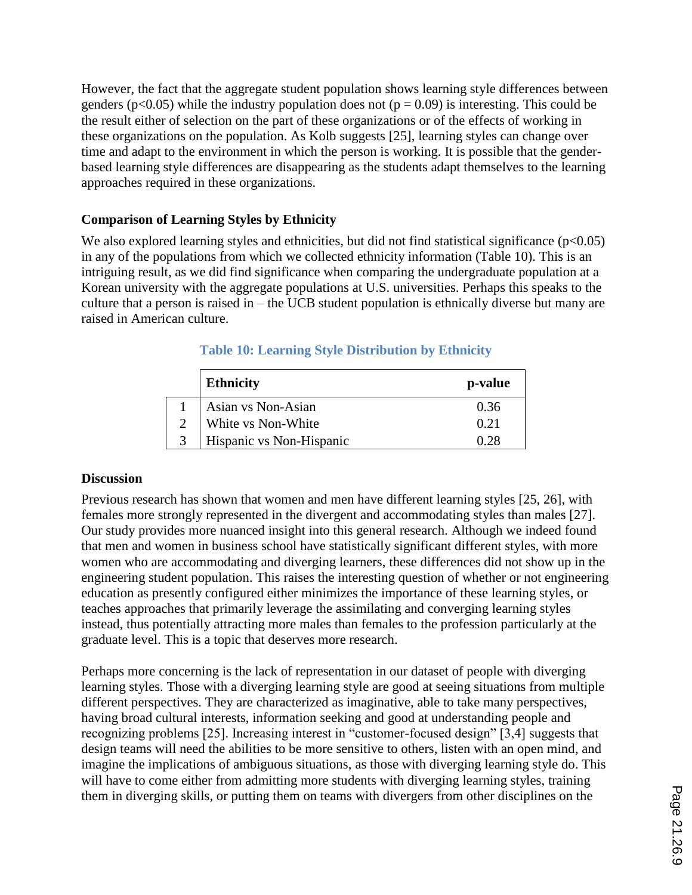However, the fact that the aggregate student population shows learning style differences between genders ( $p<0.05$ ) while the industry population does not ( $p = 0.09$ ) is interesting. This could be the result either of selection on the part of these organizations or of the effects of working in these organizations on the population. As Kolb suggests [25], learning styles can change over time and adapt to the environment in which the person is working. It is possible that the genderbased learning style differences are disappearing as the students adapt themselves to the learning approaches required in these organizations.

### **Comparison of Learning Styles by Ethnicity**

We also explored learning styles and ethnicities, but did not find statistical significance  $(p<0.05)$ in any of the populations from which we collected ethnicity information (Table 10). This is an intriguing result, as we did find significance when comparing the undergraduate population at a Korean university with the aggregate populations at U.S. universities. Perhaps this speaks to the culture that a person is raised in  $-$  the UCB student population is ethnically diverse but many are raised in American culture.

|                   | <b>Ethnicity</b>         | p-value     |
|-------------------|--------------------------|-------------|
|                   | Asian vs Non-Asian       | 0.36        |
| $\mathcal{D}$     | White vs Non-White       | 0.21        |
| $\mathbf{\Omega}$ | Hispanic vs Non-Hispanic | <u>ሰ ንዩ</u> |

## **Table 10: Learning Style Distribution by Ethnicity**

### **Discussion**

Previous research has shown that women and men have different learning styles [25, 26], with females more strongly represented in the divergent and accommodating styles than males [27]. Our study provides more nuanced insight into this general research. Although we indeed found that men and women in business school have statistically significant different styles, with more women who are accommodating and diverging learners, these differences did not show up in the engineering student population. This raises the interesting question of whether or not engineering education as presently configured either minimizes the importance of these learning styles, or teaches approaches that primarily leverage the assimilating and converging learning styles instead, thus potentially attracting more males than females to the profession particularly at the graduate level. This is a topic that deserves more research.

Perhaps more concerning is the lack of representation in our dataset of people with diverging learning styles. Those with a diverging learning style are good at seeing situations from multiple different perspectives. They are characterized as imaginative, able to take many perspectives, having broad cultural interests, information seeking and good at understanding people and recognizing problems [25]. Increasing interest in "customer-focused design" [3,4] suggests that design teams will need the abilities to be more sensitive to others, listen with an open mind, and imagine the implications of ambiguous situations, as those with diverging learning style do. This will have to come either from admitting more students with diverging learning styles, training them in diverging skills, or putting them on teams with divergers from other disciplines on the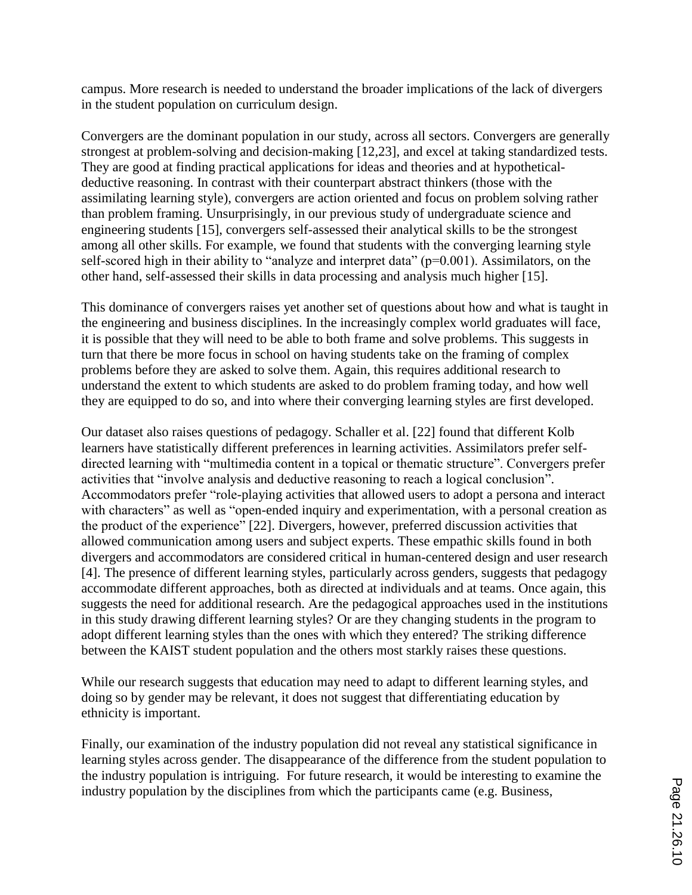campus. More research is needed to understand the broader implications of the lack of divergers in the student population on curriculum design.

Convergers are the dominant population in our study, across all sectors. Convergers are generally strongest at problem-solving and decision-making [12,23], and excel at taking standardized tests. They are good at finding practical applications for ideas and theories and at hypotheticaldeductive reasoning. In contrast with their counterpart abstract thinkers (those with the assimilating learning style), convergers are action oriented and focus on problem solving rather than problem framing. Unsurprisingly, in our previous study of undergraduate science and engineering students [15], convergers self-assessed their analytical skills to be the strongest among all other skills. For example, we found that students with the converging learning style self-scored high in their ability to "analyze and interpret data" ( $p=0.001$ ). Assimilators, on the other hand, self-assessed their skills in data processing and analysis much higher [15].

This dominance of convergers raises yet another set of questions about how and what is taught in the engineering and business disciplines. In the increasingly complex world graduates will face, it is possible that they will need to be able to both frame and solve problems. This suggests in turn that there be more focus in school on having students take on the framing of complex problems before they are asked to solve them. Again, this requires additional research to understand the extent to which students are asked to do problem framing today, and how well they are equipped to do so, and into where their converging learning styles are first developed.

Our dataset also raises questions of pedagogy. Schaller et al. [22] found that different Kolb learners have statistically different preferences in learning activities. Assimilators prefer selfdirected learning with "multimedia content in a topical or thematic structure". Convergers prefer activities that "involve analysis and deductive reasoning to reach a logical conclusion". Accommodators prefer "role-playing activities that allowed users to adopt a persona and interact with characters" as well as "open-ended inquiry and experimentation, with a personal creation as the product of the experience" [22]. Divergers, however, preferred discussion activities that allowed communication among users and subject experts. These empathic skills found in both divergers and accommodators are considered critical in human-centered design and user research [4]. The presence of different learning styles, particularly across genders, suggests that pedagogy accommodate different approaches, both as directed at individuals and at teams. Once again, this suggests the need for additional research. Are the pedagogical approaches used in the institutions in this study drawing different learning styles? Or are they changing students in the program to adopt different learning styles than the ones with which they entered? The striking difference between the KAIST student population and the others most starkly raises these questions.

While our research suggests that education may need to adapt to different learning styles, and doing so by gender may be relevant, it does not suggest that differentiating education by ethnicity is important.

Finally, our examination of the industry population did not reveal any statistical significance in learning styles across gender. The disappearance of the difference from the student population to the industry population is intriguing. For future research, it would be interesting to examine the industry population by the disciplines from which the participants came (e.g. Business,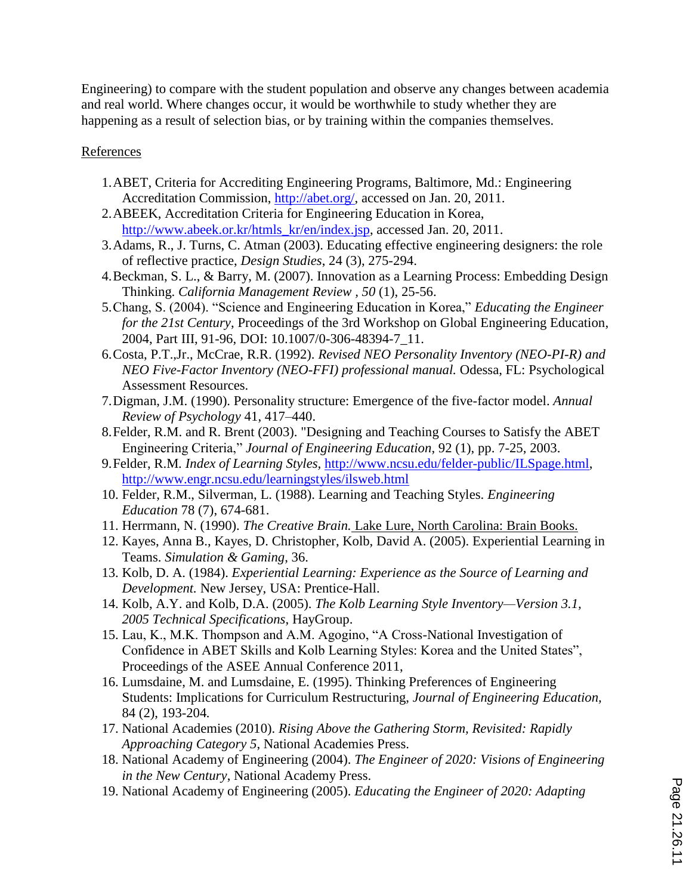Engineering) to compare with the student population and observe any changes between academia and real world. Where changes occur, it would be worthwhile to study whether they are happening as a result of selection bias, or by training within the companies themselves.

**References** 

- 1.ABET, Criteria for Accrediting Engineering Programs, Baltimore, Md.: Engineering Accreditation Commission, http://abet.org/, accessed on Jan. 20, 2011.
- 2.ABEEK, Accreditation Criteria for Engineering Education in Korea, http://www.abeek.or.kr/htmls\_kr/en/index.jsp, accessed Jan. 20, 2011.
- 3.Adams, R., J. Turns, C. Atman (2003). Educating effective engineering designers: the role of reflective practice, *Design Studies*, 24 (3), 275-294.
- 4.Beckman, S. L., & Barry, M. (2007). Innovation as a Learning Process: Embedding Design Thinking. *California Management Review , 50* (1), 25-56.
- 5.Chang, S. (2004). "Science and Engineering Education in Korea," *Educating the Engineer for the 21st Century*, Proceedings of the 3rd Workshop on Global Engineering Education, 2004, Part III, 91-96, DOI: 10.1007/0-306-48394-7\_11.
- 6.Costa, P.T.,Jr., McCrae, R.R. (1992). *Revised NEO Personality Inventory (NEO-PI-R) and NEO Five-Factor Inventory (NEO-FFI) professional manual.* Odessa, FL: Psychological Assessment Resources.
- 7.Digman, J.M. (1990). Personality structure: Emergence of the five-factor model. *Annual Review of Psychology* 41, 417–440.
- 8.Felder, R.M. and R. Brent (2003). "Designing and Teaching Courses to Satisfy the ABET Engineering Criteria," *Journal of Engineering Education*, 92 (1), pp. 7-25, 2003.
- 9.Felder, R.M*. Index of Learning Styles,* http://www.ncsu.edu/felder-public/ILSpage.html, http://www.engr.ncsu.edu/learningstyles/ilsweb.html
- 10. Felder, R.M., Silverman, L. (1988). Learning and Teaching Styles. *Engineering Education* 78 (7), 674-681.
- 11. Herrmann, N. (1990). *The Creative Brain.* Lake Lure, North Carolina: Brain Books.
- 12. Kayes, Anna B., Kayes, D. Christopher, Kolb, David A. (2005). Experiential Learning in Teams. *Simulation & Gaming*, 36.
- 13. Kolb, D. A. (1984). *Experiential Learning: Experience as the Source of Learning and Development.* New Jersey, USA: Prentice-Hall.
- 14. Kolb, A.Y. and Kolb, D.A. (2005). *The Kolb Learning Style Inventory—Version 3.1, 2005 Technical Specifications*, HayGroup.
- 15. Lau, K., M.K. Thompson and A.M. Agogino, "A Cross-National Investigation of Confidence in ABET Skills and Kolb Learning Styles: Korea and the United States", Proceedings of the ASEE Annual Conference 2011,
- 16. Lumsdaine, M. and Lumsdaine, E. (1995). Thinking Preferences of Engineering Students: Implications for Curriculum Restructuring, *Journal of Engineering Education,*  84 (2), 193-204*.*
- 17. National Academies (2010). *Rising Above the Gathering Storm, Revisited: Rapidly Approaching Category 5*, National Academies Press.
- 18. National Academy of Engineering (2004). *The Engineer of 2020: Visions of Engineering in the New Century*, National Academy Press.
- 19. National Academy of Engineering (2005). *Educating the Engineer of 2020: Adapting*